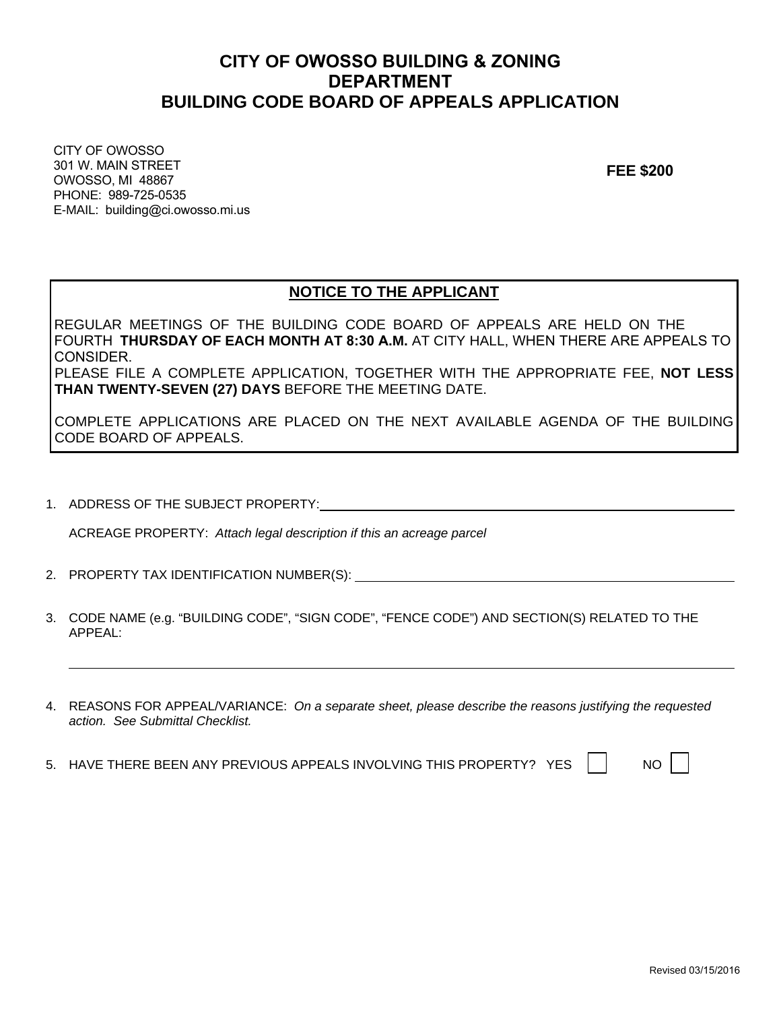## **CITY OF OWOSSO BUILDING & ZONING DEPARTMENT BUILDING CODE BOARD OF APPEALS APPLICATION**

CITY OF OWOSSO 301 W. MAIN STREET OWOSSO, MI 48867 PHONE: 989-725-0535 E-MAIL: building@ci.owosso.mi.us

**FEE \$200**

### **NOTICE TO THE APPLICANT**

REGULAR MEETINGS OF THE BUILDING CODE BOARD OF APPEALS ARE HELD ON THE FOURTH **THURSDAY OF EACH MONTH AT 8:30 A.M.** AT CITY HALL, WHEN THERE ARE APPEALS TO CONSIDER. PLEASE FILE A COMPLETE APPLICATION, TOGETHER WITH THE APPROPRIATE FEE, **NOT LESS THAN TWENTY-SEVEN (27) DAYS** BEFORE THE MEETING DATE.

COMPLETE APPLICATIONS ARE PLACED ON THE NEXT AVAILABLE AGENDA OF THE BUILDING CODE BOARD OF APPEALS.

1. ADDRESS OF THE SUBJECT PROPERTY:

ACREAGE PROPERTY: *Attach legal description if this an acreage parcel*

- 2. PROPERTY TAX IDENTIFICATION NUMBER(S):
- 3. CODE NAME (e.g. "BUILDING CODE", "SIGN CODE", "FENCE CODE") AND SECTION(S) RELATED TO THE APPEAL:
- 4. REASONS FOR APPEAL/VARIANCE: *On a separate sheet, please describe the reasons justifying the requested action. See Submittal Checklist.*
- 5. HAVE THERE BEEN ANY PREVIOUS APPEALS INVOLVING THIS PROPERTY? YES  $\parallel \parallel$  NO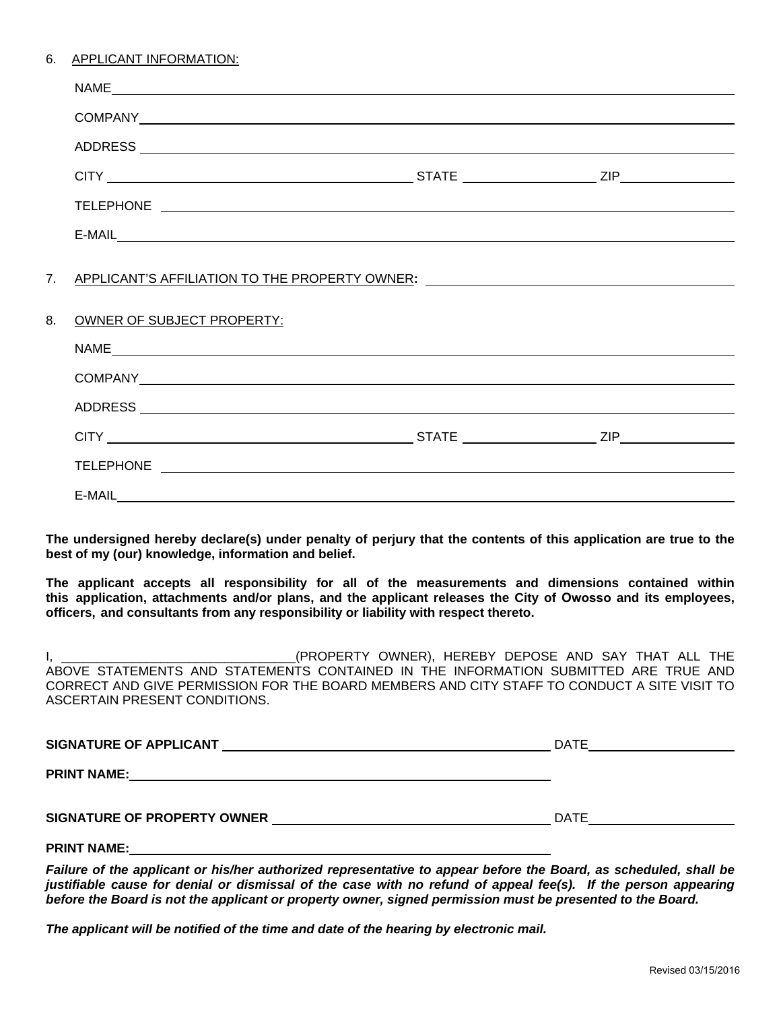| APPLICANT INFORMATION:<br>6. |
|------------------------------|
|------------------------------|

| OWNER OF SUBJECT PROPERTY: |                                                                                  |
|----------------------------|----------------------------------------------------------------------------------|
|                            |                                                                                  |
|                            |                                                                                  |
|                            |                                                                                  |
|                            |                                                                                  |
|                            |                                                                                  |
|                            |                                                                                  |
|                            | 7. APPLICANT'S AFFILIATION TO THE PROPERTY OWNER: ______________________________ |

**The undersigned hereby declare(s) under penalty of perjury that the contents of this application are true to the best of my (our) knowledge, information and belief.** 

**The applicant accepts all responsibility for all of the measurements and dimensions contained within this application, attachments and/or plans, and the applicant releases the City of Owosso and its employees, officers, and consultants from any responsibility or liability with respect thereto.** 

I, \_\_\_\_\_\_\_\_\_\_\_\_\_\_\_\_\_\_\_\_\_\_\_\_\_\_\_\_\_\_\_\_\_(PROPERTY OWNER), HEREBY DEPOSE AND SAY THAT ALL THE ABOVE STATEMENTS AND STATEMENTS CONTAINED IN THE INFORMATION SUBMITTED ARE TRUE AND CORRECT AND GIVE PERMISSION FOR THE BOARD MEMBERS AND CITY STAFF TO CONDUCT A SITE VISIT TO ASCERTAIN PRESENT CONDITIONS.

| SIGNATURE OF APPLICANT      | DATE        |
|-----------------------------|-------------|
| <b>PRINT NAME:</b>          |             |
| SIGNATURE OF PROPERTY OWNER | <b>DATE</b> |
| <b>PRINT NAME:</b>          |             |

*Failure of the applicant or his/her authorized representative to appear before the Board, as scheduled, shall be justifiable cause for denial or dismissal of the case with no refund of appeal fee(s). If the person appearing before the Board is not the applicant or property owner, signed permission must be presented to the Board.* 

*The applicant will be notified of the time and date of the hearing by electronic mail.*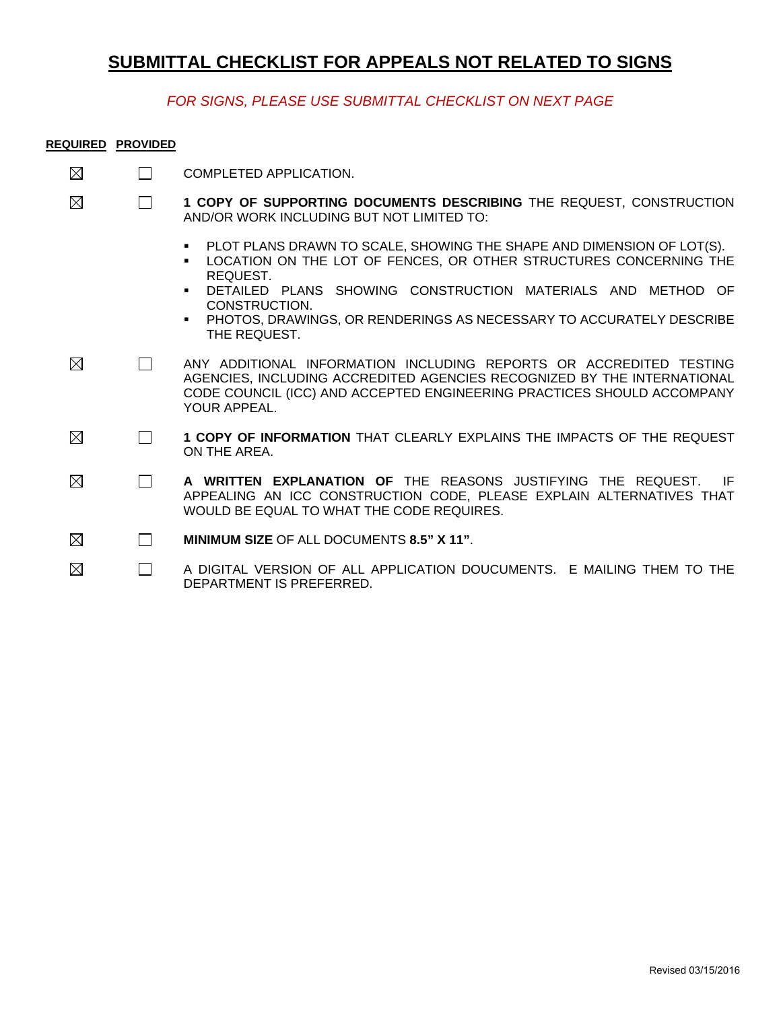# **SUBMITTAL CHECKLIST FOR APPEALS NOT RELATED TO SIGNS**

### *FOR SIGNS, PLEASE USE SUBMITTAL CHECKLIST ON NEXT PAGE*

#### **REQUIRED PROVIDED**

| $\boxtimes$ | П      | COMPLETED APPLICATION.                                                                                                                                                                                                                                                                                                                          |
|-------------|--------|-------------------------------------------------------------------------------------------------------------------------------------------------------------------------------------------------------------------------------------------------------------------------------------------------------------------------------------------------|
| $\boxtimes$ | $\Box$ | 1 COPY OF SUPPORTING DOCUMENTS DESCRIBING THE REQUEST, CONSTRUCTION<br>AND/OR WORK INCLUDING BUT NOT LIMITED TO:                                                                                                                                                                                                                                |
|             |        | PLOT PLANS DRAWN TO SCALE, SHOWING THE SHAPE AND DIMENSION OF LOT(S).<br>$\blacksquare$<br>LOCATION ON THE LOT OF FENCES, OR OTHER STRUCTURES CONCERNING THE<br>REQUEST.<br>DETAILED PLANS SHOWING CONSTRUCTION MATERIALS AND METHOD OF<br>CONSTRUCTION.<br>PHOTOS, DRAWINGS, OR RENDERINGS AS NECESSARY TO ACCURATELY DESCRIBE<br>THE REQUEST. |
| $\boxtimes$ | $\Box$ | ANY ADDITIONAL INFORMATION INCLUDING REPORTS OR ACCREDITED TESTING<br>AGENCIES, INCLUDING ACCREDITED AGENCIES RECOGNIZED BY THE INTERNATIONAL<br>CODE COUNCIL (ICC) AND ACCEPTED ENGINEERING PRACTICES SHOULD ACCOMPANY<br>YOUR APPEAL.                                                                                                         |
| $\boxtimes$ | $\Box$ | 1 COPY OF INFORMATION THAT CLEARLY EXPLAINS THE IMPACTS OF THE REQUEST<br>ON THE AREA.                                                                                                                                                                                                                                                          |
| $\boxtimes$ | $\Box$ | A WRITTEN EXPLANATION OF THE REASONS JUSTIFYING THE REQUEST.<br>IF<br>APPEALING AN ICC CONSTRUCTION CODE, PLEASE EXPLAIN ALTERNATIVES THAT<br>WOULD BE EQUAL TO WHAT THE CODE REQUIRES.                                                                                                                                                         |
| ⊠           | $\Box$ | MINIMUM SIZE OF ALL DOCUMENTS 8.5" X 11".                                                                                                                                                                                                                                                                                                       |
| $\boxtimes$ | $\Box$ | A DIGITAL VERSION OF ALL APPLICATION DOUCUMENTS. E MAILING THEM TO THE<br>DEPARTMENT IS PREFERRED.                                                                                                                                                                                                                                              |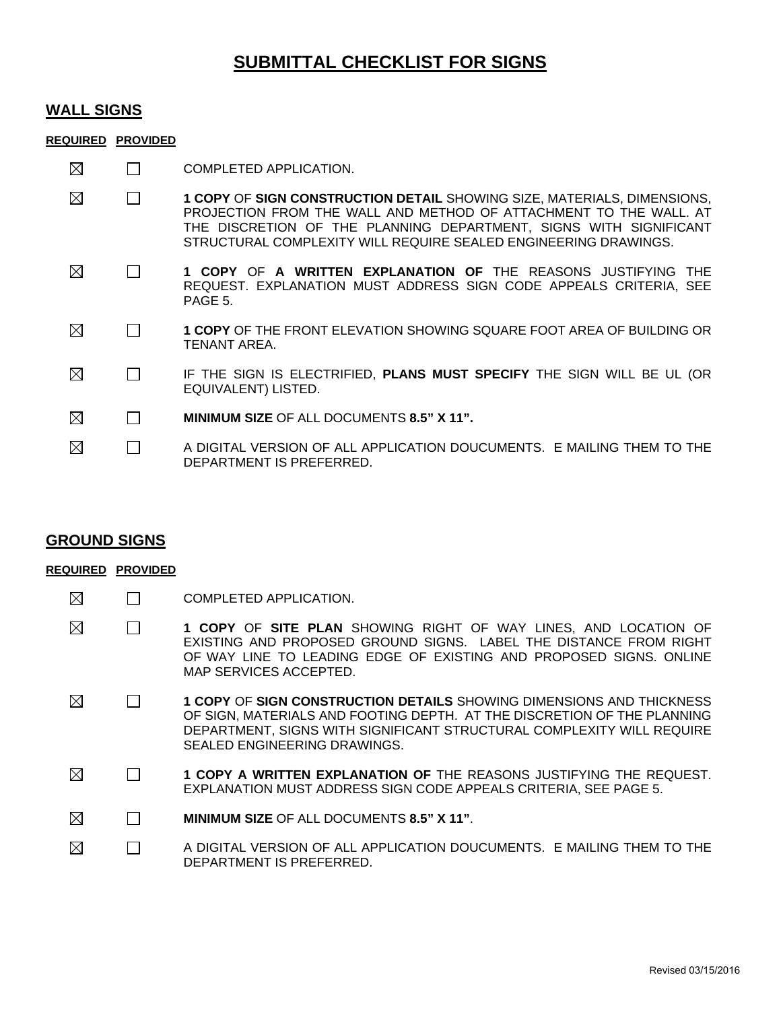## **SUBMITTAL CHECKLIST FOR SIGNS**

### **WALL SIGNS**

#### **REQUIRED PROVIDED**

- $\boxtimes$  $\Box$  COMPLETED APPLICATION.
- $\boxtimes$  $\Box$ **1 COPY** OF **SIGN CONSTRUCTION DETAIL** SHOWING SIZE, MATERIALS, DIMENSIONS, PROJECTION FROM THE WALL AND METHOD OF ATTACHMENT TO THE WALL. AT THE DISCRETION OF THE PLANNING DEPARTMENT, SIGNS WITH SIGNIFICANT STRUCTURAL COMPLEXITY WILL REQUIRE SEALED ENGINEERING DRAWINGS.
- $\boxtimes$  $\Box$ **1 COPY** OF **A WRITTEN EXPLANATION OF** THE REASONS JUSTIFYING THE REQUEST. EXPLANATION MUST ADDRESS SIGN CODE APPEALS CRITERIA, SEE PAGE 5.
- $\boxtimes$  $\Box$ **1 COPY** OF THE FRONT ELEVATION SHOWING SQUARE FOOT AREA OF BUILDING OR TENANT AREA.
- $\boxtimes$  $\Box$ IF THE SIGN IS ELECTRIFIED, **PLANS MUST SPECIFY** THE SIGN WILL BE UL (OR EQUIVALENT) LISTED.
- $\boxtimes$  **MINIMUM SIZE** OF ALL DOCUMENTS **8.5" X 11".**
- ⊠  $\Box$ A DIGITAL VERSION OF ALL APPLICATION DOUCUMENTS. E MAILING THEM TO THE DEPARTMENT IS PREFERRED.

### **GROUND SIGNS**

#### **REQUIRED PROVIDED**

- $\boxtimes$  $\Box$  COMPLETED APPLICATION.
- $\boxtimes$  $\Box$ **1 COPY** OF **SITE PLAN** SHOWING RIGHT OF WAY LINES, AND LOCATION OF EXISTING AND PROPOSED GROUND SIGNS. LABEL THE DISTANCE FROM RIGHT OF WAY LINE TO LEADING EDGE OF EXISTING AND PROPOSED SIGNS. ONLINE MAP SERVICES ACCEPTED.
- $\boxtimes$ **1 COPY** OF **SIGN CONSTRUCTION DETAILS** SHOWING DIMENSIONS AND THICKNESS  $\Box$ OF SIGN, MATERIALS AND FOOTING DEPTH. AT THE DISCRETION OF THE PLANNING DEPARTMENT, SIGNS WITH SIGNIFICANT STRUCTURAL COMPLEXITY WILL REQUIRE SEALED ENGINEERING DRAWINGS.
- ⊠  $\Box$ **1 COPY A WRITTEN EXPLANATION OF** THE REASONS JUSTIFYING THE REQUEST. EXPLANATION MUST ADDRESS SIGN CODE APPEALS CRITERIA, SEE PAGE 5.
- ⊠  **MINIMUM SIZE** OF ALL DOCUMENTS **8.5" X 11"**.
- ⊠  $\Box$ A DIGITAL VERSION OF ALL APPLICATION DOUCUMENTS. E MAILING THEM TO THE DEPARTMENT IS PREFERRED.